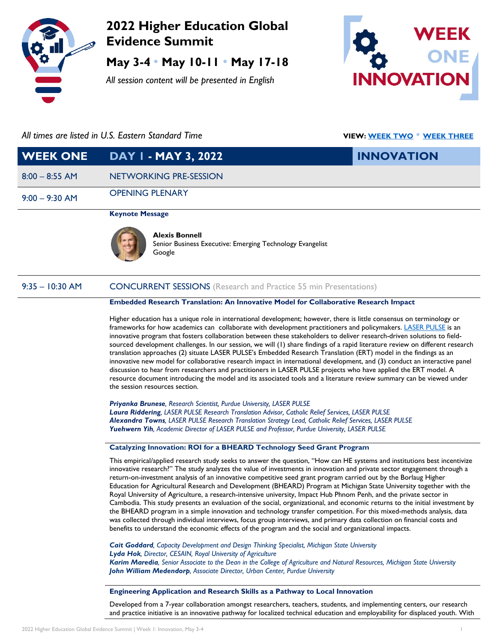

# **2022 Higher Education Global Evidence Summit**

**May 3-4** • **May 10-11** • **May 17-18**

*All session content will be presented in English*



# *All times are listed in U.S. Eastern Standard Time* **VIEW[: WEEK TWO](https://drive.google.com/file/d/1XdDcCNERmeDnJ5Pi7bc-2w5prFrS3gIQ/view?usp=sharing)** • **[WEEK THREE](https://drive.google.com/file/d/1qTWL44Fov9dEk-yoR0j_BBKaOlFxTFPt/view?usp=sharing)**

| <b>WEEK ONE</b>  | DAY I - MAY 3, 2022                                                                | <b>INNOVATION</b> |
|------------------|------------------------------------------------------------------------------------|-------------------|
| $8:00 - 8:55$ AM | NETWORKING PRE-SESSION                                                             |                   |
| $9:00 - 9:30$ AM | <b>OPENING PLENARY</b>                                                             |                   |
|                  | <b>Keynote Message</b>                                                             |                   |
|                  | <b>Alexis Bonnell</b><br>Senior Business Executive: Emerging Technology Evangelist |                   |

## 9:35 – 10:30 AM CONCURRENT SESSIONS (Research and Practice 55 min Presentations)

Google

#### **Embedded Research Translation: An Innovative Model for Collaborative Research Impact**

Higher education has a unique role in international development; however, there is little consensus on terminology or frameworks for how academics can collaborate with development practitioners and policymakers. [LASER PULSE](https://laserpulse.org/) is an innovative program that fosters collaboration between these stakeholders to deliver research-driven solutions to fieldsourced development challenges. In our session, we will (1) share findings of a rapid literature review on different research translation approaches (2) situate LASER PULSE's Embedded Research Translation (ERT) model in the findings as an innovative new model for collaborative research impact in international development, and (3) conduct an interactive panel discussion to hear from researchers and practitioners in LASER PULSE projects who have applied the ERT model. A resource document introducing the model and its associated tools and a literature review summary can be viewed under the session resources section.

*Priyanka Brunese, Research Scientist, Purdue University, LASER PULSE Laura Riddering, LASER PULSE Research Translation Advisor, Catholic Relief Services, LASER PULSE Alexandra Towns, LASER PULSE Research Translation Strategy Lead, Catholic Relief Services, LASER PULSE Yuehwern Yih, Academic Director of LASER PULSE and Professor, Purdue University, LASER PULSE*

#### **Catalyzing Innovation: ROI for a BHEARD Technology Seed Grant Program**

This empirical/applied research study seeks to answer the question, "How can HE systems and institutions best incentivize innovative research?" The study analyzes the value of investments in innovation and private sector engagement through a return-on-investment analysis of an innovative competitive seed grant program carried out by the Borlaug Higher Education for Agricultural Research and Development (BHEARD) Program at Michigan State University together with the Royal University of Agriculture, a research-intensive university, Impact Hub Phnom Penh, and the private sector in Cambodia. This study presents an evaluation of the social, organizational, and economic returns to the initial investment by the BHEARD program in a simple innovation and technology transfer competition. For this mixed-methods analysis, data was collected through individual interviews, focus group interviews, and primary data collection on financial costs and benefits to understand the economic effects of the program and the social and organizational impacts.

*Cait Goddard, Capacity Development and Design Thinking Specialist, Michigan State University Lyda Hok, Director, CESAIN, Royal University of Agriculture Karim Maredia, Senior Associate to the Dean in the College of Agriculture and Natural Resources, Michigan State University John William Medendorp, Associate Director, Urban Center, Purdue University*

#### **Engineering Application and Research Skills as a Pathway to Local Innovation**

Developed from a 7-year collaboration amongst researchers, teachers, students, and implementing centers, our research and practice initiative is an innovative pathway for localized technical education and employability for displaced youth. With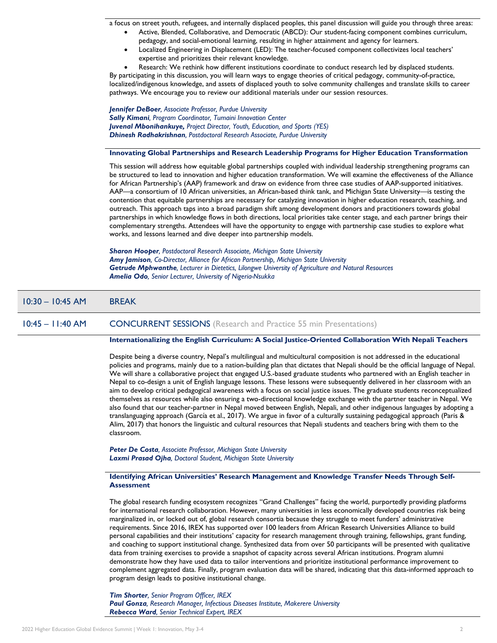a focus on street youth, refugees, and internally displaced peoples, this panel discussion will guide you through three areas:

- Active, Blended, Collaborative, and Democratic (ABCD): Our student-facing component combines curriculum, pedagogy, and social-emotional learning, resulting in higher attainment and agency for learners.
- Localized Engineering in Displacement (LED): The teacher-focused component collectivizes local teachers' expertise and prioritizes their relevant knowledge.
- Research: We rethink how different institutions coordinate to conduct research led by displaced students.

By participating in this discussion, you will learn ways to engage theories of critical pedagogy, community-of-practice, localized/indigenous knowledge, and assets of displaced youth to solve community challenges and translate skills to career pathways. We encourage you to review our additional materials under our session resources.

*Jennifer DeBoer, Associate Professor, Purdue University Sally Kimani, Program Coordinator, Tumaini Innovation Center Juvenal Mbonihankuye, Project Director, Youth, Education, and Sports (YES) Dhinesh Radhakrishnan, Postdoctoral Research Associate, Purdue University*

#### **Innovating Global Partnerships and Research Leadership Programs for Higher Education Transformation**

This session will address how equitable global partnerships coupled with individual leadership strengthening programs can be structured to lead to innovation and higher education transformation. We will examine the effectiveness of the Alliance for African Partnership's (AAP) framework and draw on evidence from three case studies of AAP-supported initiatives. AAP—a consortium of 10 African universities, an African-based think tank, and Michigan State University—is testing the contention that equitable partnerships are necessary for catalyzing innovation in higher education research, teaching, and outreach. This approach taps into a broad paradigm shift among development donors and practitioners towards global partnerships in which knowledge flows in both directions, local priorities take center stage, and each partner brings their complementary strengths. Attendees will have the opportunity to engage with partnership case studies to explore what works, and lessons learned and dive deeper into partnership models.

*Sharon Hooper, Postdoctoral Research Associate, Michigan State University Amy Jamison, Co-Director, Alliance for African Partnership, Michigan State University Getrude Mphwanthe, Lecturer in Dietetics, Lilongwe University of Agriculture and Natural Resources Amelia Odo, Senior Lecturer, University of Nigeria-Nsukka*

### 10:30 – 10:45 AM BREAK

#### 10:45 – 11:40 AM CONCURRENT SESSIONS (Research and Practice 55 min Presentations)

#### **Internationalizing the English Curriculum: A Social Justice-Oriented Collaboration With Nepali Teachers**

Despite being a diverse country, Nepal's multilingual and multicultural composition is not addressed in the educational policies and programs, mainly due to a nation-building plan that dictates that Nepali should be the official language of Nepal. We will share a collaborative project that engaged U.S.-based graduate students who partnered with an English teacher in Nepal to co-design a unit of English language lessons. These lessons were subsequently delivered in her classroom with an aim to develop critical pedagogical awareness with a focus on social justice issues. The graduate students reconceptualized themselves as resources while also ensuring a two-directional knowledge exchange with the partner teacher in Nepal. We also found that our teacher-partner in Nepal moved between English, Nepali, and other indigenous languages by adopting a translanguaging approach (García et al., 2017). We argue in favor of a culturally sustaining pedagogical approach (Paris & Alim, 2017) that honors the linguistic and cultural resources that Nepali students and teachers bring with them to the classroom.

*Peter De Costa, Associate Professor, Michigan State University Laxmi Prasad Ojha, Doctoral Student, Michigan State University*

#### **Identifying African Universities' Research Management and Knowledge Transfer Needs Through Self-Assessment**

The global research funding ecosystem recognizes "Grand Challenges" facing the world, purportedly providing platforms for international research collaboration. However, many universities in less economically developed countries risk being marginalized in, or locked out of, global research consortia because they struggle to meet funders' administrative requirements. Since 2016, IREX has supported over 100 leaders from African Research Universities Alliance to build personal capabilities and their institutions' capacity for research management through training, fellowships, grant funding, and coaching to support institutional change. Synthesized data from over 50 participants will be presented with qualitative data from training exercises to provide a snapshot of capacity across several African institutions. Program alumni demonstrate how they have used data to tailor interventions and prioritize institutional performance improvement to complement aggregated data. Finally, program evaluation data will be shared, indicating that this data-informed approach to program design leads to positive institutional change.

*Tim Shorter, Senior Program Officer, IREX Paul Gonza, Research Manager, Infectious Diseases Institute, Makerere University Rebecca Ward, Senior Technical Expert, IREX*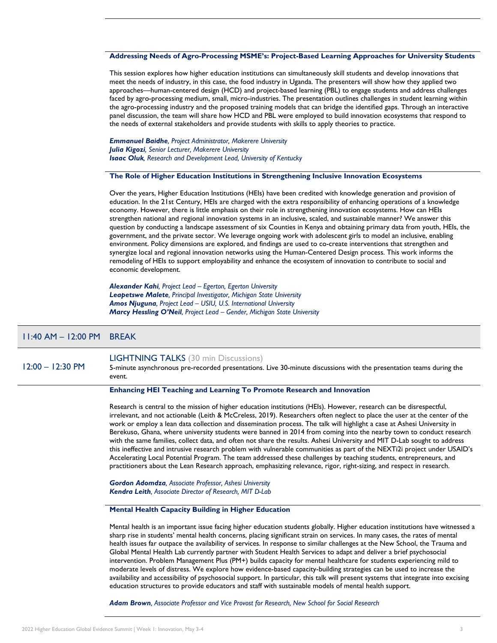#### **Addressing Needs of Agro-Processing MSME's: Project-Based Learning Approaches for University Students**

This session explores how higher education institutions can simultaneously skill students and develop innovations that meet the needs of industry, in this case, the food industry in Uganda. The presenters will show how they applied two approaches—human-centered design (HCD) and project-based learning (PBL) to engage students and address challenges faced by agro-processing medium, small, micro-industries. The presentation outlines challenges in student learning within the agro-processing industry and the proposed training models that can bridge the identified gaps. Through an interactive panel discussion, the team will share how HCD and PBL were employed to build innovation ecosystems that respond to the needs of external stakeholders and provide students with skills to apply theories to practice.

*Emmanuel Baidhe, Project Administrator, Makerere University Julia Kigozi, Senior Lecturer, Makerere University Isaac Oluk, Research and Development Lead, University of Kentucky*

#### **The Role of Higher Education Institutions in Strengthening Inclusive Innovation Ecosystems**

Over the years, Higher Education Institutions (HEIs) have been credited with knowledge generation and provision of education. In the 21st Century, HEIs are charged with the extra responsibility of enhancing operations of a knowledge economy. However, there is little emphasis on their role in strengthening innovation ecosystems. How can HEIs strengthen national and regional innovation systems in an inclusive, scaled, and sustainable manner? We answer this question by conducting a landscape assessment of six Counties in Kenya and obtaining primary data from youth, HEIs, the government, and the private sector. We leverage ongoing work with adolescent girls to model an inclusive, enabling environment. Policy dimensions are explored, and findings are used to co-create interventions that strengthen and synergize local and regional innovation networks using the Human-Centered Design process. This work informs the remodeling of HEIs to support employability and enhance the ecosystem of innovation to contribute to social and economic development.

*Alexander Kahi, Project Lead – Egerton, Egerton University Leapetswe Malete, Principal Investigator, Michigan State University Amos Njuguna, Project Lead – USIU, U.S. International University Marcy Hessling O'Neil, Project Lead – Gender, Michigan State University*

#### 11:40 AM – 12:00 PM BREAK

12:00 – 12:30 PM

#### LIGHTNING TALKS (30 min Discussions)

5-minute asynchronous pre-recorded presentations. Live 30-minute discussions with the presentation teams during the event.

#### **Enhancing HEI Teaching and Learning To Promote Research and Innovation**

Research is central to the mission of higher education institutions (HEIs). However, research can be disrespectful, irrelevant, and not actionable (Leith & McCreless, 2019). Researchers often neglect to place the user at the center of the work or employ a lean data collection and dissemination process. The talk will highlight a case at Ashesi University in Berekuso, Ghana, where university students were banned in 2014 from coming into the nearby town to conduct research with the same families, collect data, and often not share the results. Ashesi University and MIT D-Lab sought to address this ineffective and intrusive research problem with vulnerable communities as part of the NEXTi2i project under USAID's Accelerating Local Potential Program. The team addressed these challenges by teaching students, entrepreneurs, and practitioners about the Lean Research approach, emphasizing relevance, rigor, right-sizing, and respect in research.

*Gordon Adomdza, Associate Professor, Ashesi University Kendra Leith, Associate Director of Research, MIT D-Lab*

#### **Mental Health Capacity Building in Higher Education**

Mental health is an important issue facing higher education students globally. Higher education institutions have witnessed a sharp rise in students' mental health concerns, placing significant strain on services. In many cases, the rates of mental health issues far outpace the availability of services. In response to similar challenges at the New School, the Trauma and Global Mental Health Lab currently partner with Student Health Services to adapt and deliver a brief psychosocial intervention. Problem Management Plus (PM+) builds capacity for mental healthcare for students experiencing mild to moderate levels of distress. We explore how evidence-based capacity-building strategies can be used to increase the availability and accessibility of psychosocial support. In particular, this talk will present systems that integrate into excising education structures to provide educators and staff with sustainable models of mental health support.

*Adam Brown, Associate Professor and Vice Provost for Research, New School for Social Research*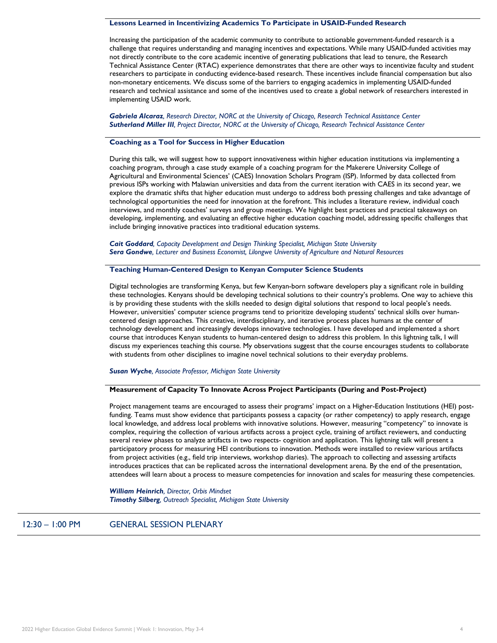#### **Lessons Learned in Incentivizing Academics To Participate in USAID-Funded Research**

Increasing the participation of the academic community to contribute to actionable government-funded research is a challenge that requires understanding and managing incentives and expectations. While many USAID-funded activities may not directly contribute to the core academic incentive of generating publications that lead to tenure, the Research Technical Assistance Center (RTAC) experience demonstrates that there are other ways to incentivize faculty and student researchers to participate in conducting evidence-based research. These incentives include financial compensation but also non-monetary enticements. We discuss some of the barriers to engaging academics in implementing USAID-funded research and technical assistance and some of the incentives used to create a global network of researchers interested in implementing USAID work.

*Gabriela Alcaraz, Research Director, NORC at the University of Chicago, Research Technical Assistance Center Sutherland Miller III, Project Director, NORC at the University of Chicago, Research Technical Assistance Center*

#### **Coaching as a Tool for Success in Higher Education**

During this talk, we will suggest how to support innovativeness within higher education institutions via implementing a coaching program, through a case study example of a coaching program for the Makerere University College of Agricultural and Environmental Sciences' (CAES) Innovation Scholars Program (ISP). Informed by data collected from previous ISPs working with Malawian universities and data from the current iteration with CAES in its second year, we explore the dramatic shifts that higher education must undergo to address both pressing challenges and take advantage of technological opportunities the need for innovation at the forefront. This includes a literature review, individual coach interviews, and monthly coaches' surveys and group meetings. We highlight best practices and practical takeaways on developing, implementing, and evaluating an effective higher education coaching model, addressing specific challenges that include bringing innovative practices into traditional education systems.

*Cait Goddard, Capacity Development and Design Thinking Specialist, Michigan State University Sera Gondwe, Lecturer and Business Economist, Lilongwe University of Agriculture and Natural Resources*

#### **Teaching Human-Centered Design to Kenyan Computer Science Students**

Digital technologies are transforming Kenya, but few Kenyan-born software developers play a significant role in building these technologies. Kenyans should be developing technical solutions to their country's problems. One way to achieve this is by providing these students with the skills needed to design digital solutions that respond to local people's needs. However, universities' computer science programs tend to prioritize developing students' technical skills over humancentered design approaches. This creative, interdisciplinary, and iterative process places humans at the center of technology development and increasingly develops innovative technologies. I have developed and implemented a short course that introduces Kenyan students to human-centered design to address this problem. In this lightning talk, I will discuss my experiences teaching this course. My observations suggest that the course encourages students to collaborate with students from other disciplines to imagine novel technical solutions to their everyday problems.

#### *Susan Wyche, Associate Professor, Michigan State University*

#### **Measurement of Capacity To Innovate Across Project Participants (During and Post-Project)**

Project management teams are encouraged to assess their programs' impact on a Higher-Education Institutions (HEI) postfunding. Teams must show evidence that participants possess a capacity (or rather competency) to apply research, engage local knowledge, and address local problems with innovative solutions. However, measuring "competency" to innovate is complex, requiring the collection of various artifacts across a project cycle, training of artifact reviewers, and conducting several review phases to analyze artifacts in two respects- cognition and application. This lightning talk will present a participatory process for measuring HEI contributions to innovation. Methods were installed to review various artifacts from project activities (e.g., field trip interviews, workshop diaries). The approach to collecting and assessing artifacts introduces practices that can be replicated across the international development arena. By the end of the presentation, attendees will learn about a process to measure competencies for innovation and scales for measuring these competencies.

*William Heinrich, Director, Orbis Mindset Timothy Silberg, Outreach Specialist, Michigan State University* 

12:30 – 1:00 PM GENERAL SESSION PLENARY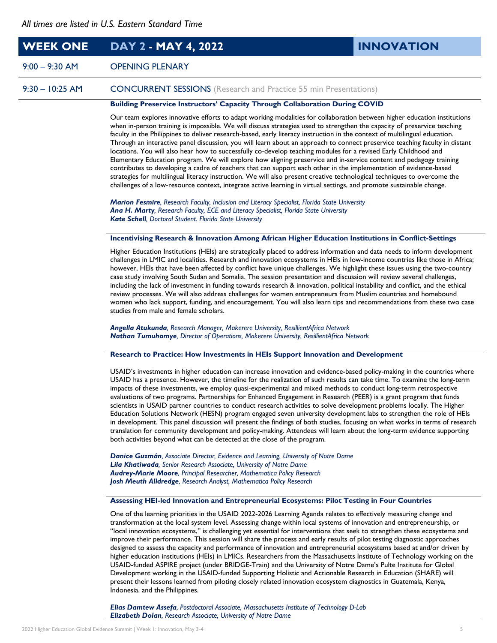# **WEEK ONE DAY 2 - MAY 4, 2022 INNOVATION**

# 9:00 – 9:30 AM OPENING PLENARY

9:30 – 10:25 AM CONCURRENT SESSIONS (Research and Practice 55 min Presentations)

# **Building Preservice Instructors' Capacity Through Collaboration During COVID**

Our team explores innovative efforts to adapt working modalities for collaboration between higher education institutions when in-person training is impossible. We will discuss strategies used to strengthen the capacity of preservice teaching faculty in the Philippines to deliver research-based, early literacy instruction in the context of multilingual education. Through an interactive panel discussion, you will learn about an approach to connect preservice teaching faculty in distant locations. You will also hear how to successfully co-develop teaching modules for a revised Early Childhood and Elementary Education program. We will explore how aligning preservice and in-service content and pedagogy training contributes to developing a cadre of teachers that can support each other in the implementation of evidence-based strategies for multilingual literacy instruction. We will also present creative technological techniques to overcome the challenges of a low-resource context, integrate active learning in virtual settings, and promote sustainable change.

*Marion Fesmire, Research Faculty, Inclusion and Literacy Specialist, Florida State University Ana H. Marty, Research Faculty, ECE and Literacy Specialist, Florida State University Kate Schell, Doctoral Student. Florida State University*

#### **Incentivising Research & Innovation Among African Higher Education Institutions in Conflict-Settings**

Higher Education Institutions (HEIs) are strategically placed to address information and data needs to inform development challenges in LMIC and localities. Research and innovation ecosystems in HEIs in low-income countries like those in Africa; however, HEIs that have been affected by conflict have unique challenges. We highlight these issues using the two-country case study involving South Sudan and Somalia. The session presentation and discussion will review several challenges, including the lack of investment in funding towards research & innovation, political instability and conflict, and the ethical review processes. We will also address challenges for women entrepreneurs from Muslim countries and homebound women who lack support, funding, and encouragement. You will also learn tips and recommendations from these two case studies from male and female scholars.

*Angella Atukunda, Research Manager, Makerere University, ResillientAfrica Network Nathan Tumuhamye, Director of Operations, Makerere University, ResillientAfrica Network*

#### **Research to Practice: How Investments in HEIs Support Innovation and Development**

USAID's investments in higher education can increase innovation and evidence-based policy-making in the countries where USAID has a presence. However, the timeline for the realization of such results can take time. To examine the long-term impacts of these investments, we employ quasi-experimental and mixed methods to conduct long-term retrospective evaluations of two programs. Partnerships for Enhanced Engagement in Research (PEER) is a grant program that funds scientists in USAID partner countries to conduct research activities to solve development problems locally. The Higher Education Solutions Network (HESN) program engaged seven university development labs to strengthen the role of HEIs in development. This panel discussion will present the findings of both studies, focusing on what works in terms of research translation for community development and policy-making. Attendees will learn about the long-term evidence supporting both activities beyond what can be detected at the close of the program.

*Danice Guzmán, Associate Director, Evidence and Learning, University of Notre Dame Lila Khatiwada, Senior Research Associate, University of Notre Dame Audrey-Marie Moore, Principal Researcher, Mathematica Policy Research Josh Meuth Alldredge, Research Analyst, Mathematica Policy Research*

#### **Assessing HEI-led Innovation and Entrepreneurial Ecosystems: Pilot Testing in Four Countries**

One of the learning priorities in the USAID 2022-2026 Learning Agenda relates to effectively measuring change and transformation at the local system level. Assessing change within local systems of innovation and entrepreneurship, or "local innovation ecosystems," is challenging yet essential for interventions that seek to strengthen these ecosystems and improve their performance. This session will share the process and early results of pilot testing diagnostic approaches designed to assess the capacity and performance of innovation and entrepreneurial ecosystems based at and/or driven by higher education institutions (HEIs) in LMICs. Researchers from the Massachusetts Institute of Technology working on the USAID-funded ASPIRE project (under BRIDGE-Train) and the University of Notre Dame's Pulte Institute for Global Development working in the USAID-funded Supporting Holistic and Actionable Research in Education (SHARE) will present their lessons learned from piloting closely related innovation ecosystem diagnostics in Guatemala, Kenya, Indonesia, and the Philippines.

*Elias Damtew Assefa, Postdoctoral Associate, Massachusetts Institute of Technology D-Lab Elizabeth Dolan, Research Associate, University of Notre Dame*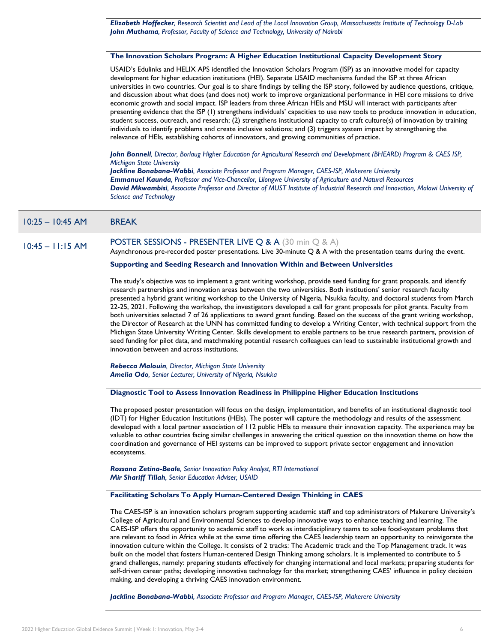*Elizabeth Hoffecker, Research Scientist and Lead of the Local Innovation Group, Massachusetts Institute of Technology D-Lab John Muthama, Professor, Faculty of Science and Technology, University of Nairobi*

#### **The Innovation Scholars Program: A Higher Education Institutional Capacity Development Story**

USAID's Edulinks and HELIX APS identified the Innovation Scholars Program (ISP) as an innovative model for capacity development for higher education institutions (HEI). Separate USAID mechanisms funded the ISP at three African universities in two countries. Our goal is to share findings by telling the ISP story, followed by audience questions, critique, and discussion about what does (and does not) work to improve organizational performance in HEI core missions to drive economic growth and social impact. ISP leaders from three African HEIs and MSU will interact with participants after presenting evidence that the ISP (1) strengthens individuals' capacities to use new tools to produce innovation in education, student success, outreach, and research; (2) strengthens institutional capacity to craft culture(s) of innovation by training individuals to identify problems and create inclusive solutions; and (3) triggers system impact by strengthening the relevance of HEIs, establishing cohorts of innovators, and growing communities of practice.

*John Bonnell, Director, Borlaug Higher Education for Agricultural Research and Development (BHEARD) Program & CAES ISP, Michigan State University*

*Jackline Bonabana-Wabbi, Associate Professor and Program Manager, CAES-ISP, Makerere University Emmanuel Kaunda, Professor and Vice-Chancellor, Lilongwe University of Agriculture and Natural Resources David Mkwambisi, Associate Professor and Director of MUST Institute of Industrial Research and Innovation, Malawi University of Science and Technology*

#### 10:25 – 10:45 AM BREAK

# $10:45 - 11:15$  AM POSTER SESSIONS - PRESENTER LIVE Q & A (30 min Q & A)

Asynchronous pre-recorded poster presentations. Live 30-minute Q & A with the presentation teams during the event.

#### **Supporting and Seeding Research and Innovation Within and Between Universities**

The study's objective was to implement a grant writing workshop, provide seed funding for grant proposals, and identify research partnerships and innovation areas between the two universities. Both institutions' senior research faculty presented a hybrid grant writing workshop to the University of Nigeria, Nsukka faculty, and doctoral students from March 22-25, 2021. Following the workshop, the investigators developed a call for grant proposals for pilot grants. Faculty from both universities selected 7 of 26 applications to award grant funding. Based on the success of the grant writing workshop, the Director of Research at the UNN has committed funding to develop a Writing Center, with technical support from the Michigan State University Writing Center. Skills development to enable partners to be true research partners, provision of seed funding for pilot data, and matchmaking potential research colleagues can lead to sustainable institutional growth and innovation between and across institutions.

*Rebecca Malouin, Director, Michigan State University Amelia Odo, Senior Lecturer, University of Nigeria, Nsukka*

#### **Diagnostic Tool to Assess Innovation Readiness in Philippine Higher Education Institutions**

The proposed poster presentation will focus on the design, implementation, and benefits of an institutional diagnostic tool (IDT) for Higher Education Institutions (HEIs). The poster will capture the methodology and results of the assessment developed with a local partner association of 112 public HEIs to measure their innovation capacity. The experience may be valuable to other countries facing similar challenges in answering the critical question on the innovation theme on how the coordination and governance of HEI systems can be improved to support private sector engagement and innovation ecosystems.

*Rossana Zetina-Beale, Senior Innovation Policy Analyst, RTI International Mir Shariff Tillah, Senior Education Adviser, USAID*

#### **Facilitating Scholars To Apply Human-Centered Design Thinking in CAES**

The CAES-ISP is an innovation scholars program supporting academic staff and top administrators of Makerere University's College of Agricultural and Environmental Sciences to develop innovative ways to enhance teaching and learning. The CAES-ISP offers the opportunity to academic staff to work as interdisciplinary teams to solve food-system problems that are relevant to food in Africa while at the same time offering the CAES leadership team an opportunity to reinvigorate the innovation culture within the College. It consists of 2 tracks: The Academic track and the Top Management track. It was built on the model that fosters Human-centered Design Thinking among scholars. It is implemented to contribute to 5 grand challenges, namely: preparing students effectively for changing international and local markets; preparing students for self-driven career paths; developing innovative technology for the market; strengthening CAES' influence in policy decision making, and developing a thriving CAES innovation environment.

*Jackline Bonabana-Wabbi, Associate Professor and Program Manager, CAES-ISP, Makerere University*